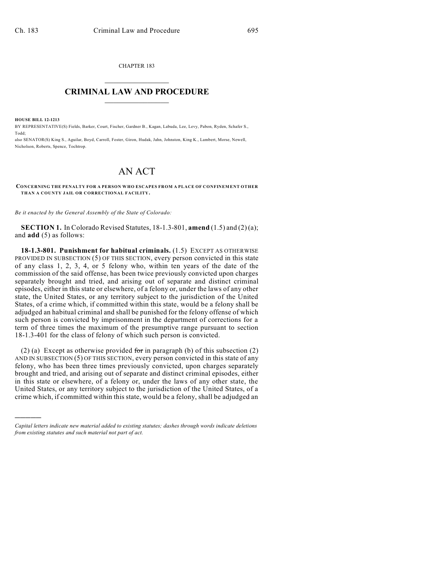CHAPTER 183  $\overline{\phantom{a}}$  . The set of the set of the set of the set of the set of the set of the set of the set of the set of the set of the set of the set of the set of the set of the set of the set of the set of the set of the set o

## **CRIMINAL LAW AND PROCEDURE**  $\frac{1}{2}$  ,  $\frac{1}{2}$  ,  $\frac{1}{2}$  ,  $\frac{1}{2}$  ,  $\frac{1}{2}$  ,  $\frac{1}{2}$  ,  $\frac{1}{2}$

**HOUSE BILL 12-1213**

)))))

BY REPRESENTATIVE(S) Fields, Barker, Court, Fischer, Gardner B., Kagan, Labuda, Lee, Levy, Pabon, Ryden, Schafer S., Todd;

also SENATOR(S) King S., Aguilar, Boyd, Carroll, Foster, Giron, Hudak, Jahn, Johnston, King K., Lambert, Morse, Newell, Nicholson, Roberts, Spence, Tochtrop.

## AN ACT

**CONCERNING THE PENALTY FOR A PERSON WHO ESCAPES FROM A PLACE OF CONFINEMENT OTHER THAN A COUNTY JAIL OR CORRECTIONAL FACILITY.**

*Be it enacted by the General Assembly of the State of Colorado:*

**SECTION 1.** In Colorado Revised Statutes, 18-1.3-801, **amend** (1.5) and (2) (a); and **add** (5) as follows:

**18-1.3-801. Punishment for habitual criminals.** (1.5) EXCEPT AS OTHERWISE PROVIDED IN SUBSECTION (5) OF THIS SECTION, every person convicted in this state of any class 1, 2, 3, 4, or 5 felony who, within ten years of the date of the commission of the said offense, has been twice previously convicted upon charges separately brought and tried, and arising out of separate and distinct criminal episodes, either in this state or elsewhere, of a felony or, under the laws of any other state, the United States, or any territory subject to the jurisdiction of the United States, of a crime which, if committed within this state, would be a felony shall be adjudged an habitual criminal and shall be punished for the felony offense of which such person is convicted by imprisonment in the department of corrections for a term of three times the maximum of the presumptive range pursuant to section 18-1.3-401 for the class of felony of which such person is convicted.

(2) (a) Except as otherwise provided for in paragraph (b) of this subsection  $(2)$ AND IN SUBSECTION (5) OF THIS SECTION, every person convicted in this state of any felony, who has been three times previously convicted, upon charges separately brought and tried, and arising out of separate and distinct criminal episodes, either in this state or elsewhere, of a felony or, under the laws of any other state, the United States, or any territory subject to the jurisdiction of the United States, of a crime which, if committed within this state, would be a felony, shall be adjudged an

*Capital letters indicate new material added to existing statutes; dashes through words indicate deletions from existing statutes and such material not part of act.*